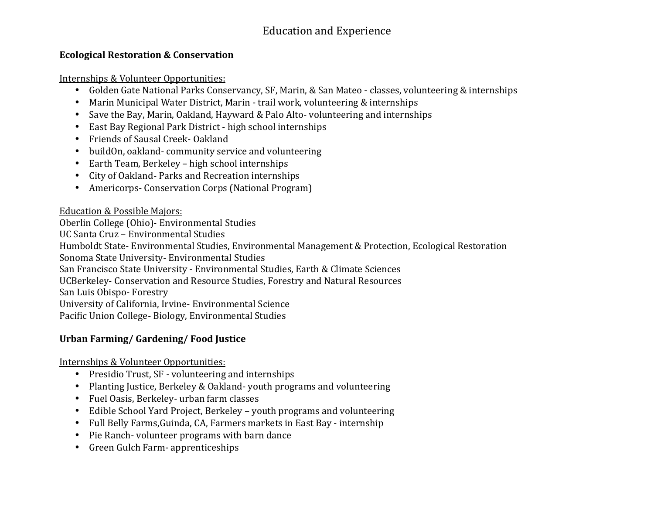# Education and Experience

#### **Ecological Restoration & Conservation**

Internships & Volunteer Opportunities:

- Golden Gate National Parks Conservancy, SF, Marin, & San Mateo classes, volunteering & internships
- $\bullet$ Marin Municipal Water District, Marin - trail work, volunteering & internships
- Save the Bay, Marin, Oakland, Hayward & Palo Alto- volunteering and internships
- East Bay Regional Park District high school internships
- Friends of Sausal Creek- Oakland
- •buildOn, oakland- community service and volunteering
- $\bullet$ Earth Team, Berkeley – high school internships
- City of Oakland- Parks and Recreation internships
- Americorps- Conservation Corps (National Program)

## Education & Possible Majors:

Oberlin College (Ohio)- Environmental Studies

UC Santa Cruz – Environmental Studies

Humboldt State- Environmental Studies, Environmental Management & Protection, Ecological Restoration

Sonoma State University- Environmental Studies

San Francisco State University - Environmental Studies, Earth & Climate Sciences

UCBerkeley- Conservation and Resource Studies, Forestry and Natural Resources

San Luis Obispo- Forestry

University of California, Irvine- Environmental Science

Pacific Union College- Biology, Environmental Studies

# **Urban Farming/ Gardening/ Food Justice**

Internships & Volunteer Opportunities:

- Presidio Trust, SF volunteering and internships
- Planting Justice, Berkeley & Oakland- youth programs and volunteering
- Fuel Oasis, Berkeley- urban farm classes
- Edible School Yard Project, Berkeley youth programs and volunteering
- $\bullet$ Full Belly Farms,Guinda, CA, Farmers markets in East Bay - internship
- Pie Ranch- volunteer programs with barn dance
- Green Gulch Farm- apprenticeships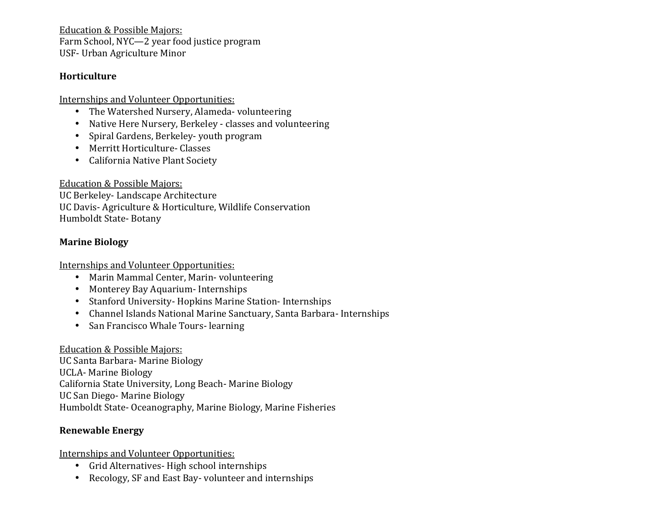Education & Possible Majors: Farm School, NYC—2 year food justice program USF- Urban Agriculture Minor

#### **Horticulture**

Internships and Volunteer Opportunities:

- The Watershed Nursery, Alameda- volunteering
- Native Here Nursery, Berkeley classes and volunteering
- Spiral Gardens, Berkeley- youth program
- Merritt Horticulture- Classes
- California Native Plant Society

Education & Possible Majors:

UC Berkeley- Landscape Architecture UC Davis- Agriculture & Horticulture, Wildlife Conservation Humboldt State- Botany

## **Marine Biology**

Internships and Volunteer Opportunities:

- Marin Mammal Center, Marin- volunteering
- Monterey Bay Aquarium- Internships
- Stanford University- Hopkins Marine Station- Internships
- Channel Islands National Marine Sanctuary, Santa Barbara- Internships
- San Francisco Whale Tours- learning

### Education & Possible Majors:

 UC Santa Barbara- Marine Biology UCLA- Marine Biology California State University, Long Beach- Marine Biology UC San Diego- Marine Biology Humboldt State- Oceanography, Marine Biology, Marine Fisheries

### **Renewable Energy**

Internships and Volunteer Opportunities:

- Grid Alternatives- High school internships
- Recology, SF and East Bay- volunteer and internships